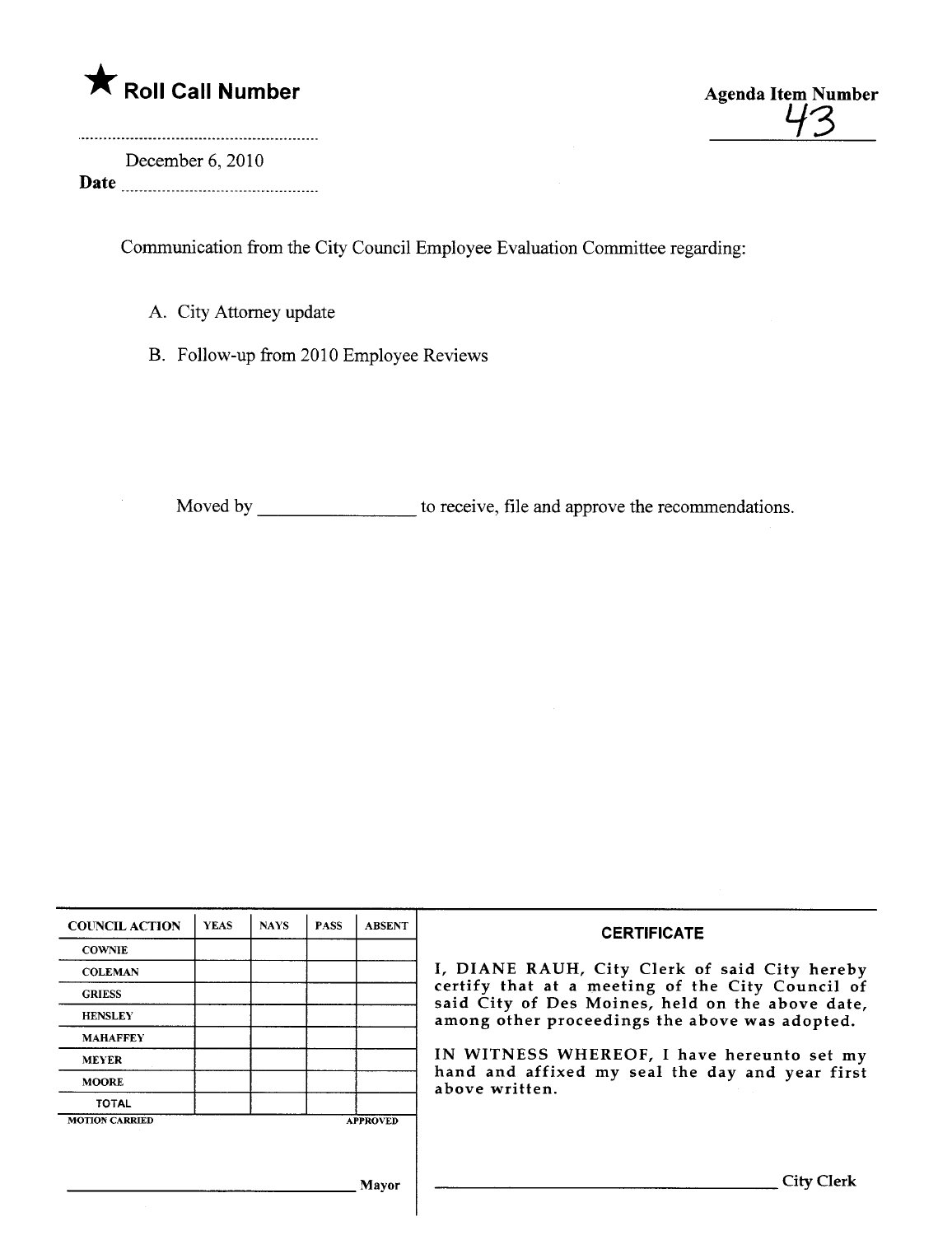

43

December 6,2010 Date

Communcation from the City Council Employee Evaluation Committee regarding:

- A. City Attorney update
- B. Follow-up from 2010 Employee Reviews

Moved by \_\_\_\_\_\_\_\_\_\_\_\_\_\_\_\_\_\_ to receive, file and approve the recommendations.

| <b>COUNCIL ACTION</b> | <b>YEAS</b> | <b>NAYS</b> | <b>PASS</b> | <b>ABSENT</b>   | <b>CERTIFICATE</b><br>I, DIANE RAUH, City Clerk of said City hereby<br>certify that at a meeting of the City Council of<br>said City of Des Moines, held on the above date,<br>among other proceedings the above was adopted.<br>IN WITNESS WHEREOF, I have hereunto set my<br>hand and affixed my seal the day and year first<br>above written. |
|-----------------------|-------------|-------------|-------------|-----------------|--------------------------------------------------------------------------------------------------------------------------------------------------------------------------------------------------------------------------------------------------------------------------------------------------------------------------------------------------|
| <b>COWNIE</b>         |             |             |             |                 |                                                                                                                                                                                                                                                                                                                                                  |
| <b>COLEMAN</b>        |             |             |             |                 |                                                                                                                                                                                                                                                                                                                                                  |
| <b>GRIESS</b>         |             |             |             |                 |                                                                                                                                                                                                                                                                                                                                                  |
| <b>HENSLEY</b>        |             |             |             |                 |                                                                                                                                                                                                                                                                                                                                                  |
| <b>MAHAFFEY</b>       |             |             |             |                 |                                                                                                                                                                                                                                                                                                                                                  |
| <b>MEYER</b>          |             |             |             |                 |                                                                                                                                                                                                                                                                                                                                                  |
| <b>MOORE</b>          |             |             |             |                 |                                                                                                                                                                                                                                                                                                                                                  |
| <b>TOTAL</b>          |             |             |             |                 |                                                                                                                                                                                                                                                                                                                                                  |
| <b>MOTION CARRIED</b> |             |             |             | <b>APPROVED</b> |                                                                                                                                                                                                                                                                                                                                                  |
|                       |             |             |             |                 |                                                                                                                                                                                                                                                                                                                                                  |
|                       |             |             |             |                 |                                                                                                                                                                                                                                                                                                                                                  |
|                       |             |             |             |                 |                                                                                                                                                                                                                                                                                                                                                  |
| Mavor                 |             |             |             |                 | City Clerk                                                                                                                                                                                                                                                                                                                                       |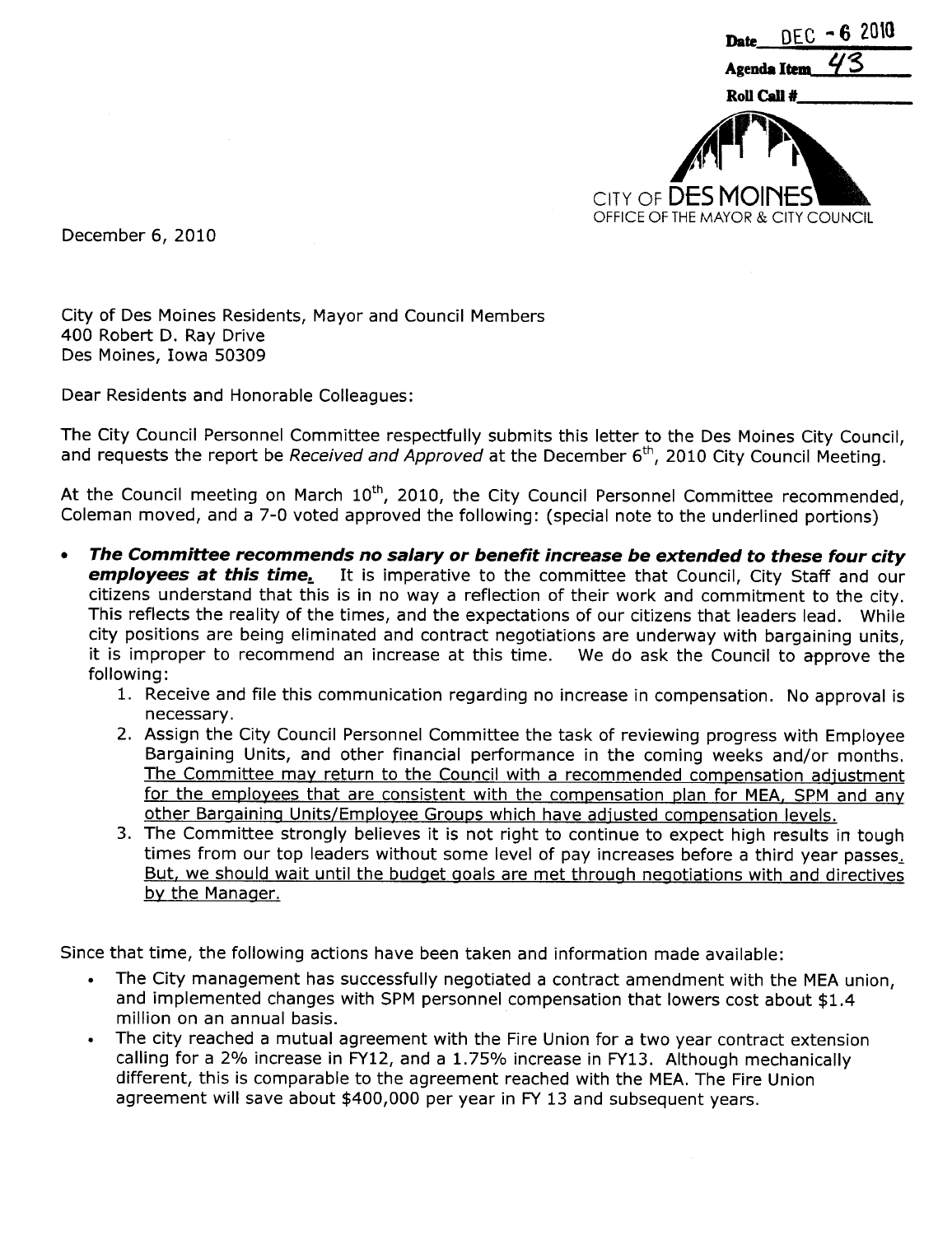

December 6, 2010

City of Des Moines Residents, Mayor and Council Members 400 Robert D. Ray Drive Des Moines, Iowa 50309

Dear Residents and Honorable Colleagues:

The City Council Personnel Committee respectfully submits this letter to the Des Moines City Council, and requests the report be Received and Approved at the December  $6<sup>th</sup>$ , 2010 City Council Meeting.

At the Council meeting on March  $10<sup>th</sup>$ , 2010, the City Council Personnel Committee recommended, Coleman moved, and a 7-0 voted approved the following: (special note to the underlined portions)

- · The Committee recommends no salary or benefit increase be extended to these four city employees at this time. It is imperative to the committee that Council, City Staff and our citizens understand that this is in no way a reflection of their work and commitment to the city. This reflects the reality of the times, and the expectations of our citizens that leaders lead. While city positions are being eliminated and contract negotiations are underway with bargaining units, it is improper to recommend an increase at this time. We do ask the Council to approve the following:
	- 1. Receive and file this communication regarding no increase in compensation. No approval is necessary.
	- 2. Assign the City Council Personnel Committee the task of reviewing progress with Employee Bargaining Units, and other financial performance in the coming weeks and/or months. The Committee may return to the Council with a recommended compensation adiustment for the employees that are consistent with the compensation plan for MEA, SPM and any other Bargainina Units/Employee Groups which have adiusted compensation levels.
	- 3. The Committee strongly believes it is not right to continue to expect high results in tough times from our top leaders without some level of pay increases before a third year passes.. But, we should wait until the budget goals are met through negotiations with and directives by the Manager.

Since that time, the following actions have been taken and information made available:

- The City management has successfully negotiated a contract amendment with the MEA union, and implemented changes with SPM personnel compensation that lowers cost about \$1.4 million on an annual basis.
- The city reached a mutual agreement with the Fire Union for a two year contract extension calling for a 2% increase in FY12, and a 1.75% increase in FY13. Although mechanically different, this is comparable to the agreement reached with the MEA. The Fire Union agreement will save about \$400,000 per year in FY 13 and subsequent years.